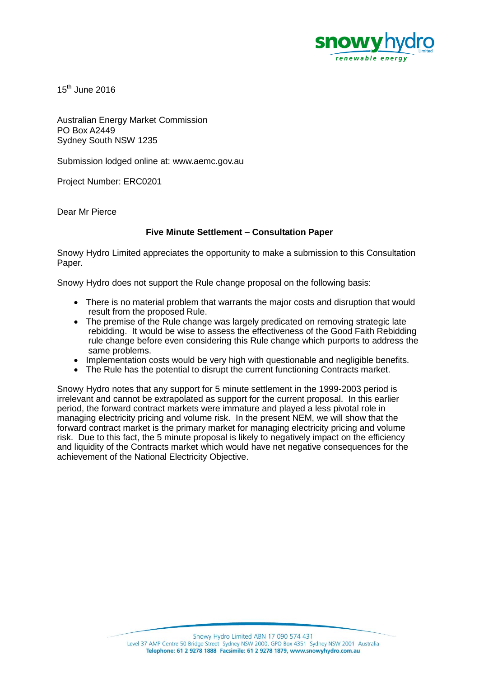

 $15<sup>th</sup>$  June 2016

Australian Energy Market Commission PO Box A2449 Sydney South NSW 1235

Submission lodged online at: www.aemc.gov.au

Project Number: ERC0201

Dear Mr Pierce

## **Five Minute Settlement – Consultation Paper**

Snowy Hydro Limited appreciates the opportunity to make a submission to this Consultation Paper.

Snowy Hydro does not support the Rule change proposal on the following basis:

- There is no material problem that warrants the major costs and disruption that would result from the proposed Rule.
- The premise of the Rule change was largely predicated on removing strategic late rebidding. It would be wise to assess the effectiveness of the Good Faith Rebidding rule change before even considering this Rule change which purports to address the same problems.
- Implementation costs would be very high with questionable and negligible benefits.
- The Rule has the potential to disrupt the current functioning Contracts market.

Snowy Hydro notes that any support for 5 minute settlement in the 1999-2003 period is irrelevant and cannot be extrapolated as support for the current proposal. In this earlier period, the forward contract markets were immature and played a less pivotal role in managing electricity pricing and volume risk. In the present NEM, we will show that the forward contract market is the primary market for managing electricity pricing and volume risk. Due to this fact, the 5 minute proposal is likely to negatively impact on the efficiency and liquidity of the Contracts market which would have net negative consequences for the achievement of the National Electricity Objective.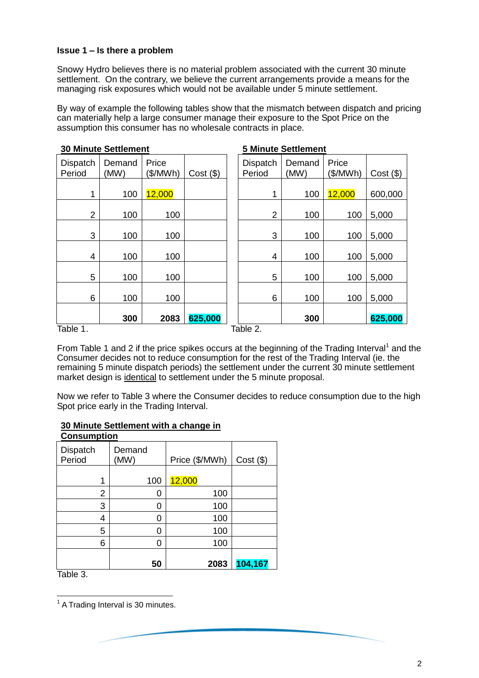#### **Issue 1 – Is there a problem**

Snowy Hydro believes there is no material problem associated with the current 30 minute settlement. On the contrary, we believe the current arrangements provide a means for the managing risk exposures which would not be available under 5 minute settlement.

By way of example the following tables show that the mismatch between dispatch and pricing can materially help a large consumer manage their exposure to the Spot Price on the assumption this consumer has no wholesale contracts in place.

| <b>30 Minute Settlement</b> |                |                   |             | <b>5 Minute Settlement</b> |                |                   |             |
|-----------------------------|----------------|-------------------|-------------|----------------------------|----------------|-------------------|-------------|
| <b>Dispatch</b><br>Period   | Demand<br>(MW) | Price<br>(\$/MWh) | $Cost($ \$) | <b>Dispatch</b><br>Period  | Demand<br>(MW) | Price<br>(\$/MWh) | $Cost($ \$) |
| 1                           | 100            | 12,000            |             | 1                          | 100            | 12,000            | 600,000     |
| $\overline{2}$              | 100            | 100               |             | $\overline{2}$             | 100            | 100               | 5,000       |
| 3                           | 100            | 100               |             | 3                          | 100            | 100               | 5,000       |
| $\overline{4}$              | 100            | 100               |             | 4                          | 100            | 100               | 5,000       |
| 5                           | 100            | 100               |             | 5                          | 100            | 100               | 5,000       |
| 6                           | 100            | 100               |             | 6                          | 100            | 100               | 5,000       |
|                             | 300            | 2083              | 625,000     |                            | 300            |                   | 625,000     |
| Table 1.                    |                |                   |             | Table 2.                   |                |                   |             |

From Table 1 and 2 if the price spikes occurs at the beginning of the Trading Interval<sup>1</sup> and the Consumer decides not to reduce consumption for the rest of the Trading Interval (ie. the remaining 5 minute dispatch periods) the settlement under the current 30 minute settlement market design is identical to settlement under the 5 minute proposal.

Now we refer to Table 3 where the Consumer decides to reduce consumption due to the high Spot price early in the Trading Interval.

#### **30 Minute Settlement with a change in Consumption**

| vvnsumpuvn         |                |                |             |  |  |  |  |
|--------------------|----------------|----------------|-------------|--|--|--|--|
| Dispatch<br>Period | Demand<br>(MW) | Price (\$/MWh) | $Cost($ \$) |  |  |  |  |
| 1                  | 100            | 12,000         |             |  |  |  |  |
| 2                  | 0              | 100            |             |  |  |  |  |
| 3                  | 0              | 100            |             |  |  |  |  |
| 4                  | ი              | 100            |             |  |  |  |  |
| 5                  | 0              | 100            |             |  |  |  |  |
| 6                  | 0              | 100            |             |  |  |  |  |
|                    | 50             | 2083           | 104,167     |  |  |  |  |
| $-110$             |                |                |             |  |  |  |  |

Table 3.

l

 $1$  A Trading Interval is 30 minutes.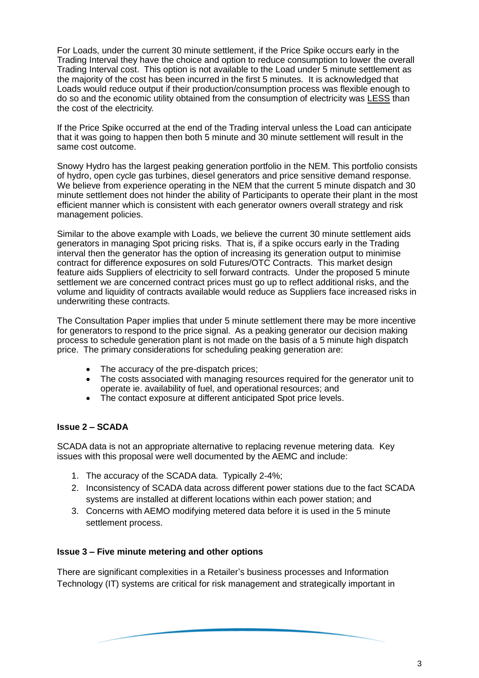For Loads, under the current 30 minute settlement, if the Price Spike occurs early in the Trading Interval they have the choice and option to reduce consumption to lower the overall Trading Interval cost. This option is not available to the Load under 5 minute settlement as the majority of the cost has been incurred in the first 5 minutes. It is acknowledged that Loads would reduce output if their production/consumption process was flexible enough to do so and the economic utility obtained from the consumption of electricity was LESS than the cost of the electricity.

If the Price Spike occurred at the end of the Trading interval unless the Load can anticipate that it was going to happen then both 5 minute and 30 minute settlement will result in the same cost outcome.

Snowy Hydro has the largest peaking generation portfolio in the NEM. This portfolio consists of hydro, open cycle gas turbines, diesel generators and price sensitive demand response. We believe from experience operating in the NEM that the current 5 minute dispatch and 30 minute settlement does not hinder the ability of Participants to operate their plant in the most efficient manner which is consistent with each generator owners overall strategy and risk management policies.

Similar to the above example with Loads, we believe the current 30 minute settlement aids generators in managing Spot pricing risks. That is, if a spike occurs early in the Trading interval then the generator has the option of increasing its generation output to minimise contract for difference exposures on sold Futures/OTC Contracts. This market design feature aids Suppliers of electricity to sell forward contracts. Under the proposed 5 minute settlement we are concerned contract prices must go up to reflect additional risks, and the volume and liquidity of contracts available would reduce as Suppliers face increased risks in underwriting these contracts.

The Consultation Paper implies that under 5 minute settlement there may be more incentive for generators to respond to the price signal. As a peaking generator our decision making process to schedule generation plant is not made on the basis of a 5 minute high dispatch price. The primary considerations for scheduling peaking generation are:

- The accuracy of the pre-dispatch prices;
- The costs associated with managing resources required for the generator unit to operate ie. availability of fuel, and operational resources; and
- The contact exposure at different anticipated Spot price levels.

# **Issue 2 – SCADA**

SCADA data is not an appropriate alternative to replacing revenue metering data. Key issues with this proposal were well documented by the AEMC and include:

- 1. The accuracy of the SCADA data. Typically 2-4%;
- 2. Inconsistency of SCADA data across different power stations due to the fact SCADA systems are installed at different locations within each power station; and
- 3. Concerns with AEMO modifying metered data before it is used in the 5 minute settlement process.

# **Issue 3 – Five minute metering and other options**

There are significant complexities in a Retailer's business processes and Information Technology (IT) systems are critical for risk management and strategically important in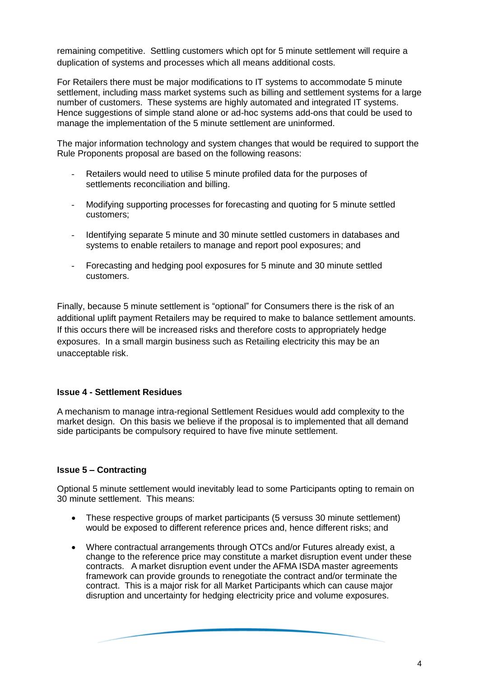remaining competitive. Settling customers which opt for 5 minute settlement will require a duplication of systems and processes which all means additional costs.

For Retailers there must be major modifications to IT systems to accommodate 5 minute settlement, including mass market systems such as billing and settlement systems for a large number of customers. These systems are highly automated and integrated IT systems. Hence suggestions of simple stand alone or ad-hoc systems add-ons that could be used to manage the implementation of the 5 minute settlement are uninformed.

The major information technology and system changes that would be required to support the Rule Proponents proposal are based on the following reasons:

- Retailers would need to utilise 5 minute profiled data for the purposes of settlements reconciliation and billing.
- Modifying supporting processes for forecasting and quoting for 5 minute settled customers;
- Identifying separate 5 minute and 30 minute settled customers in databases and systems to enable retailers to manage and report pool exposures; and
- Forecasting and hedging pool exposures for 5 minute and 30 minute settled customers.

Finally, because 5 minute settlement is "optional" for Consumers there is the risk of an additional uplift payment Retailers may be required to make to balance settlement amounts. If this occurs there will be increased risks and therefore costs to appropriately hedge exposures. In a small margin business such as Retailing electricity this may be an unacceptable risk.

## **Issue 4 - Settlement Residues**

A mechanism to manage intra-regional Settlement Residues would add complexity to the market design. On this basis we believe if the proposal is to implemented that all demand side participants be compulsory required to have five minute settlement.

## **Issue 5 – Contracting**

Optional 5 minute settlement would inevitably lead to some Participants opting to remain on 30 minute settlement. This means:

- These respective groups of market participants (5 versuss 30 minute settlement) would be exposed to different reference prices and, hence different risks; and
- Where contractual arrangements through OTCs and/or Futures already exist, a change to the reference price may constitute a market disruption event under these contracts. A market disruption event under the AFMA ISDA master agreements framework can provide grounds to renegotiate the contract and/or terminate the contract. This is a major risk for all Market Participants which can cause major disruption and uncertainty for hedging electricity price and volume exposures.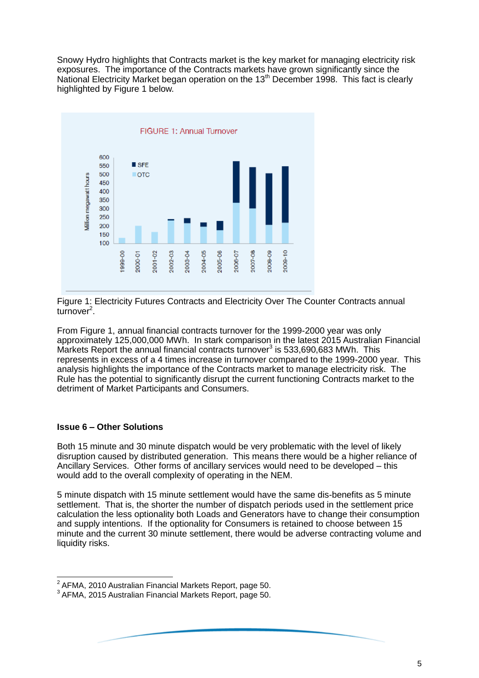Snowy Hydro highlights that Contracts market is the key market for managing electricity risk exposures. The importance of the Contracts markets have grown significantly since the National Electricity Market began operation on the 13<sup>th</sup> December 1998. This fact is clearly highlighted by Figure 1 below.



Figure 1: Electricity Futures Contracts and Electricity Over The Counter Contracts annual turnover<sup>2</sup>.

From Figure 1, annual financial contracts turnover for the 1999-2000 year was only approximately 125,000,000 MWh. In stark comparison in the latest 2015 Australian Financial Markets Report the annual financial contracts turnover<sup>3</sup> is 533,690,683 MWh. This represents in excess of a 4 times increase in turnover compared to the 1999-2000 year. This analysis highlights the importance of the Contracts market to manage electricity risk. The Rule has the potential to significantly disrupt the current functioning Contracts market to the detriment of Market Participants and Consumers.

## **Issue 6 – Other Solutions**

l

Both 15 minute and 30 minute dispatch would be very problematic with the level of likely disruption caused by distributed generation. This means there would be a higher reliance of Ancillary Services. Other forms of ancillary services would need to be developed – this would add to the overall complexity of operating in the NEM.

5 minute dispatch with 15 minute settlement would have the same dis-benefits as 5 minute settlement. That is, the shorter the number of dispatch periods used in the settlement price calculation the less optionality both Loads and Generators have to change their consumption and supply intentions. If the optionality for Consumers is retained to choose between 15 minute and the current 30 minute settlement, there would be adverse contracting volume and liquidity risks.

 $^{2}$  AFMA, 2010 Australian Financial Markets Report, page 50.

<sup>3</sup> AFMA, 2015 Australian Financial Markets Report, page 50.